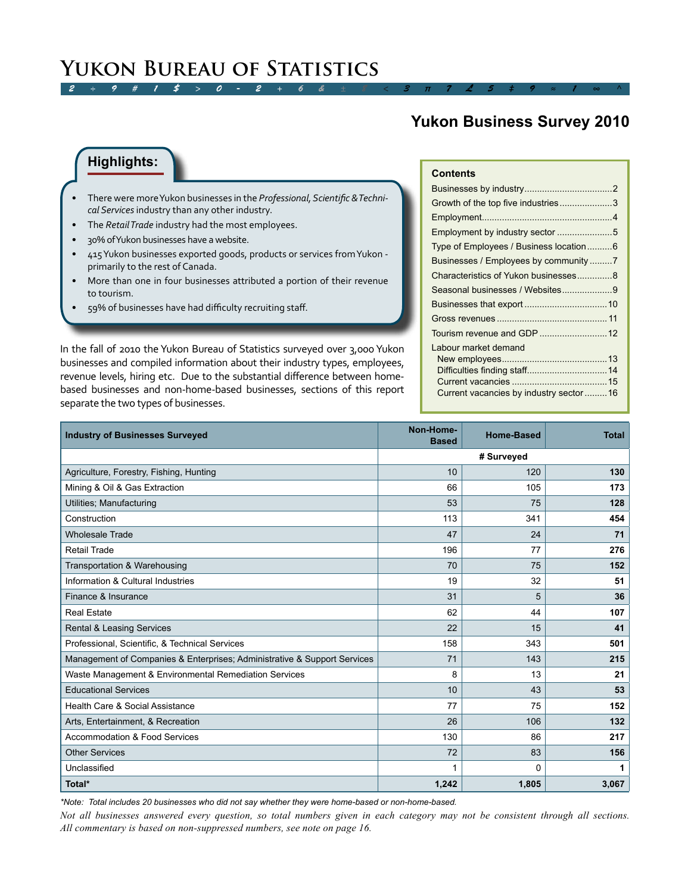## *2 ÷ 9 # 1 \$ > 0 - 2 + 6 & ± 8 < 3 π 7 £ 5 ‡ 9 ≈ 1 ∞ ^* **Yukon Bureau of Statistics**

## **Yukon Business Survey 2010**

### **Highlights:**

- There were more Yukon businesses in the *Professional, Scientific & Technical Services* industry than any other industry.
- The *Retail Trade* industry had the most employees.
- 30% of Yukon businesses have a website.
- 415 Yukon businesses exported goods, products or services from Yukon primarily to the rest of Canada.
- More than one in four businesses attributed a portion of their revenue to tourism.
- 59% of businesses have had difficulty recruiting staff.

In the fall of 2010 the Yukon Bureau of Statistics surveyed over 3,000 Yukon businesses and compiled information about their industry types, employees, revenue levels, hiring etc. Due to the substantial difference between homebased businesses and non-home-based businesses, sections of this report separate the two types of businesses.

| Growth of the top five industries3     |   |
|----------------------------------------|---|
|                                        |   |
| Employment by industry sector 5        |   |
| Type of Employees / Business location6 |   |
| Businesses / Employees by community 7  |   |
| Characteristics of Yukon businesses 8  |   |
| Segennal hueinesses / Websites         | a |

**Contents**

| Seasonal businesses / Websites9         |  |
|-----------------------------------------|--|
|                                         |  |
|                                         |  |
|                                         |  |
| Labour market demand                    |  |
|                                         |  |
|                                         |  |
|                                         |  |
| Current vacancies by industry sector 16 |  |

| <b>Industry of Businesses Surveyed</b>                                   | Non-Home-<br><b>Based</b> | <b>Home-Based</b> | <b>Total</b> |
|--------------------------------------------------------------------------|---------------------------|-------------------|--------------|
|                                                                          |                           |                   |              |
| Agriculture, Forestry, Fishing, Hunting                                  | 10                        | 120               | 130          |
| Mining & Oil & Gas Extraction                                            | 66                        | 105               | 173          |
| Utilities; Manufacturing                                                 | 53                        | 75                | 128          |
| Construction                                                             | 113                       | 341               | 454          |
| <b>Wholesale Trade</b>                                                   | 47                        | 24                | 71           |
| <b>Retail Trade</b>                                                      | 196                       | 77                | 276          |
| Transportation & Warehousing                                             | 70                        | 75                | 152          |
| Information & Cultural Industries                                        | 19                        | 32                | 51           |
| Finance & Insurance                                                      | 31                        | 5                 | 36           |
| <b>Real Estate</b>                                                       | 62                        | 44                | 107          |
| <b>Rental &amp; Leasing Services</b>                                     | 22                        | 15                | 41           |
| Professional, Scientific, & Technical Services                           | 158                       | 343               | 501          |
| Management of Companies & Enterprises; Administrative & Support Services | 71                        | 143               | 215          |
| Waste Management & Environmental Remediation Services                    | 8                         | 13                | 21           |
| <b>Educational Services</b>                                              | 10                        | 43                | 53           |
| Health Care & Social Assistance                                          | 77                        | 75                | 152          |
| Arts, Entertainment, & Recreation                                        | 26                        | 106               | 132          |
| Accommodation & Food Services                                            | 130                       | 86                | 217          |
| <b>Other Services</b>                                                    | 72                        | 83                | 156          |
| Unclassified                                                             |                           | $\Omega$          | 1            |
| Total*                                                                   | 1,242                     | 1,805             | 3,067        |

*\*Note: Total includes 20 businesses who did not say whether they were home-based or non-home-based.*

*Not all businesses answered every question, so total numbers given in each category may not be consistent through all sections. All commentary is based on non-suppressed numbers, see note on page 16.*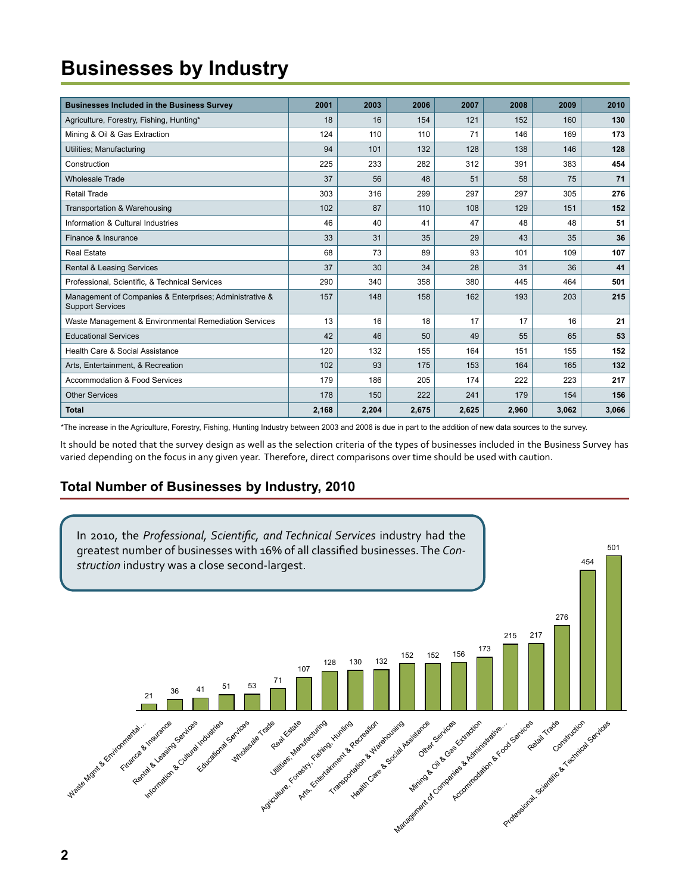# <span id="page-1-0"></span>**Businesses by Industry**

| <b>Businesses Included in the Business Survey</b>                                  | 2001  | 2003  | 2006  | 2007  | 2008  | 2009  | 2010  |
|------------------------------------------------------------------------------------|-------|-------|-------|-------|-------|-------|-------|
| Agriculture, Forestry, Fishing, Hunting*                                           | 18    | 16    | 154   | 121   | 152   | 160   | 130   |
| Mining & Oil & Gas Extraction                                                      | 124   | 110   | 110   | 71    | 146   | 169   | 173   |
| Utilities; Manufacturing                                                           | 94    | 101   | 132   | 128   | 138   | 146   | 128   |
| Construction                                                                       | 225   | 233   | 282   | 312   | 391   | 383   | 454   |
| <b>Wholesale Trade</b>                                                             | 37    | 56    | 48    | 51    | 58    | 75    | 71    |
| Retail Trade                                                                       | 303   | 316   | 299   | 297   | 297   | 305   | 276   |
| Transportation & Warehousing                                                       | 102   | 87    | 110   | 108   | 129   | 151   | 152   |
| Information & Cultural Industries                                                  | 46    | 40    | 41    | 47    | 48    | 48    | 51    |
| Finance & Insurance                                                                | 33    | 31    | 35    | 29    | 43    | 35    | 36    |
| <b>Real Estate</b>                                                                 | 68    | 73    | 89    | 93    | 101   | 109   | 107   |
| <b>Rental &amp; Leasing Services</b>                                               | 37    | 30    | 34    | 28    | 31    | 36    | 41    |
| Professional, Scientific, & Technical Services                                     | 290   | 340   | 358   | 380   | 445   | 464   | 501   |
| Management of Companies & Enterprises; Administrative &<br><b>Support Services</b> | 157   | 148   | 158   | 162   | 193   | 203   | 215   |
| Waste Management & Environmental Remediation Services                              | 13    | 16    | 18    | 17    | 17    | 16    | 21    |
| <b>Educational Services</b>                                                        | 42    | 46    | 50    | 49    | 55    | 65    | 53    |
| Health Care & Social Assistance                                                    | 120   | 132   | 155   | 164   | 151   | 155   | 152   |
| Arts, Entertainment, & Recreation                                                  | 102   | 93    | 175   | 153   | 164   | 165   | 132   |
| <b>Accommodation &amp; Food Services</b>                                           | 179   | 186   | 205   | 174   | 222   | 223   | 217   |
| <b>Other Services</b>                                                              | 178   | 150   | 222   | 241   | 179   | 154   | 156   |
| <b>Total</b>                                                                       | 2,168 | 2,204 | 2,675 | 2,625 | 2,960 | 3,062 | 3,066 |

\*The increase in the Agriculture, Forestry, Fishing, Hunting Industry between 2003 and 2006 is due in part to the addition of new data sources to the survey.

It should be noted that the survey design as well as the selection criteria of the types of businesses included in the Business Survey has varied depending on the focus in any given year. Therefore, direct comparisons over time should be used with caution.

## **Total Number of Businesses by Industry, 2010**

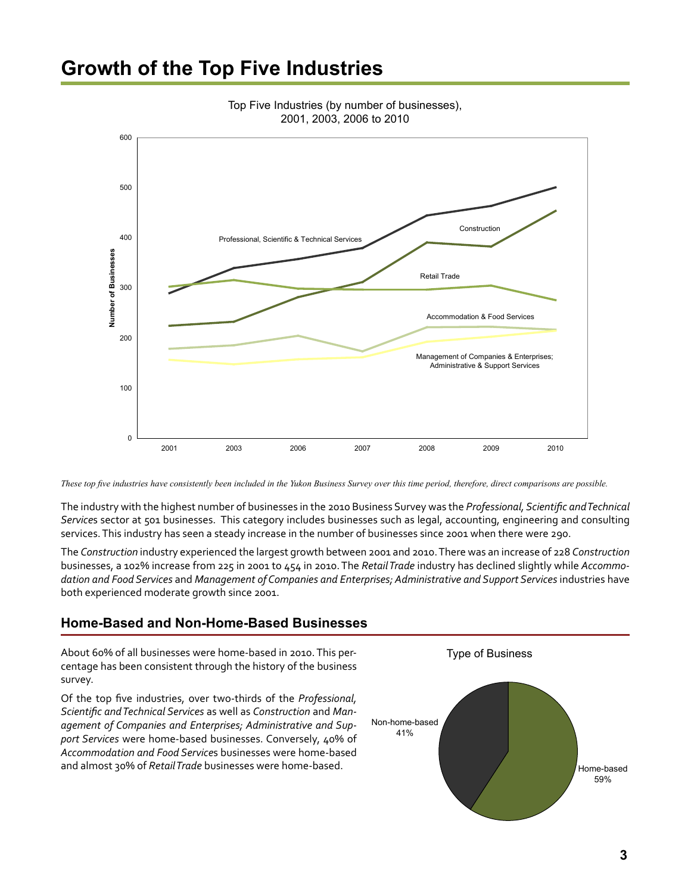## <span id="page-2-0"></span>**Growth of the Top Five Industries**



Top Five Industries (by number of businesses), 2001, 2003, 2006 to 2010

*These top five industries have consistently been included in the Yukon Business Survey over this time period, therefore, direct comparisons are possible.* 

The industry with the highest number of businesses in the 2010 Business Survey was the *Professional, Scientific and Technical Service*s sector at 501 businesses. This category includes businesses such as legal, accounting, engineering and consulting services. This industry has seen a steady increase in the number of businesses since 2001 when there were 290.

The *Construction* industry experienced the largest growth between 2001 and 2010. There was an increase of 228 *Construction* businesses, a 102% increase from 225 in 2001 to 454 in 2010. The *Retail Trade* industry has declined slightly while *Accommodation and Food Services* and *Management of Companies and Enterprises; Administrative and Support Services* industries have both experienced moderate growth since 2001.

### **Home-Based and Non-Home-Based Businesses**

About 60% of all businesses were home-based in 2010. This percentage has been consistent through the history of the business survey.

Of the top five industries, over two-thirds of the *Professional, Scientific and Technical Services* as well as *Construction* and *Management of Companies and Enterprises; Administrative and Support Services* were home-based businesses. Conversely, 40% of *Accommodation and Food Service*s businesses were home-based and almost 30% of *Retail Trade* businesses were home-based.

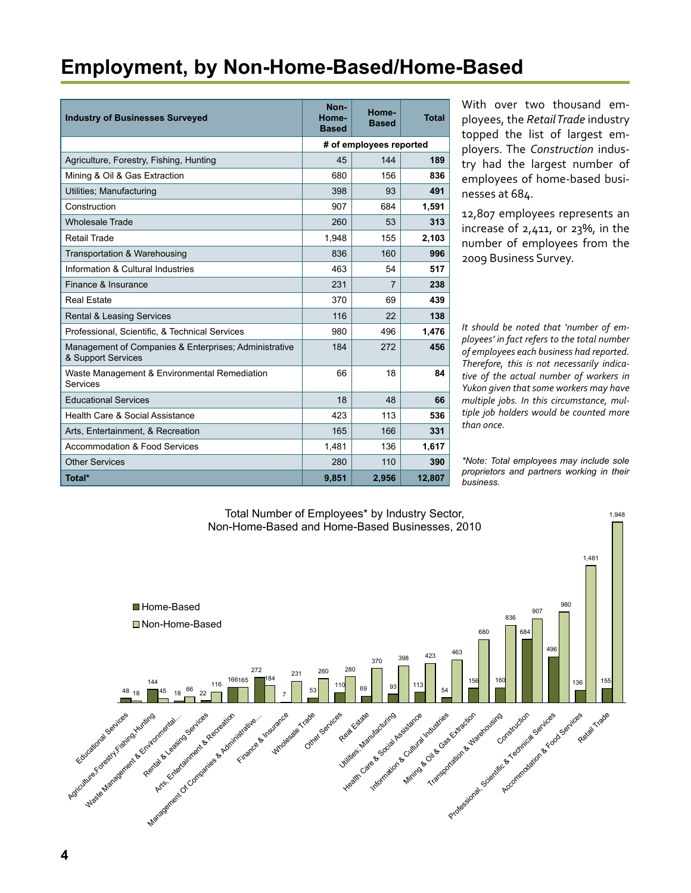## <span id="page-3-0"></span>**Employment, by Non-Home-Based/Home-Based**

| <b>Industry of Businesses Surveyed</b>                                      | Non-<br>Home-<br><b>Based</b> | Home-<br><b>Based</b>   | Total  |
|-----------------------------------------------------------------------------|-------------------------------|-------------------------|--------|
|                                                                             |                               | # of employees reported |        |
| Agriculture, Forestry, Fishing, Hunting                                     | 45                            | 144                     | 189    |
| Mining & Oil & Gas Extraction                                               | 680                           | 156                     | 836    |
| Utilities; Manufacturing                                                    | 398                           | 93                      | 491    |
| Construction                                                                | 907                           | 684                     | 1,591  |
| <b>Wholesale Trade</b>                                                      | 260                           | 53                      | 313    |
| Retail Trade                                                                | 1.948                         | 155                     | 2.103  |
| Transportation & Warehousing                                                | 836                           | 160                     | 996    |
| Information & Cultural Industries                                           | 463                           | 54                      | 517    |
| Finance & Insurance                                                         | 231                           | 7                       | 238    |
| Real Estate                                                                 | 370                           | 69                      | 439    |
| <b>Rental &amp; Leasing Services</b>                                        | 116                           | 22                      | 138    |
| Professional, Scientific, & Technical Services                              | 980                           | 496                     | 1,476  |
| Management of Companies & Enterprises; Administrative<br>& Support Services | 184                           | 272                     | 456    |
| Waste Management & Environmental Remediation<br>Services                    | 66                            | 18                      | 84     |
| <b>Educational Services</b>                                                 | 18                            | 48                      | 66     |
| Health Care & Social Assistance                                             | 423                           | 113                     | 536    |
| Arts, Entertainment, & Recreation                                           | 165                           | 166                     | 331    |
| Accommodation & Food Services                                               | 1,481                         | 136                     | 1,617  |
| <b>Other Services</b>                                                       | 280                           | 110                     | 390    |
| Total*                                                                      | 9,851                         | 2,956                   | 12,807 |

With over two thousand employees, the *Retail Trade* industry topped the list of largest employers. The *Construction* industry had the largest number of employees of home-based businesses at 684.

12,807 employees represents an increase of 2,411, or 23%, in the number of employees from the 2009 Business Survey.

*It should be noted that 'number of employees' in fact refers to the total number of employees each business had reported. Therefore, this is not necessarily indicative of the actual number of workers in Yukon given that some workers may have multiple jobs. In this circumstance, multiple job holders would be counted more than once.* 

*\*Note: Total employees may include sole proprietors and partners working in their business.*

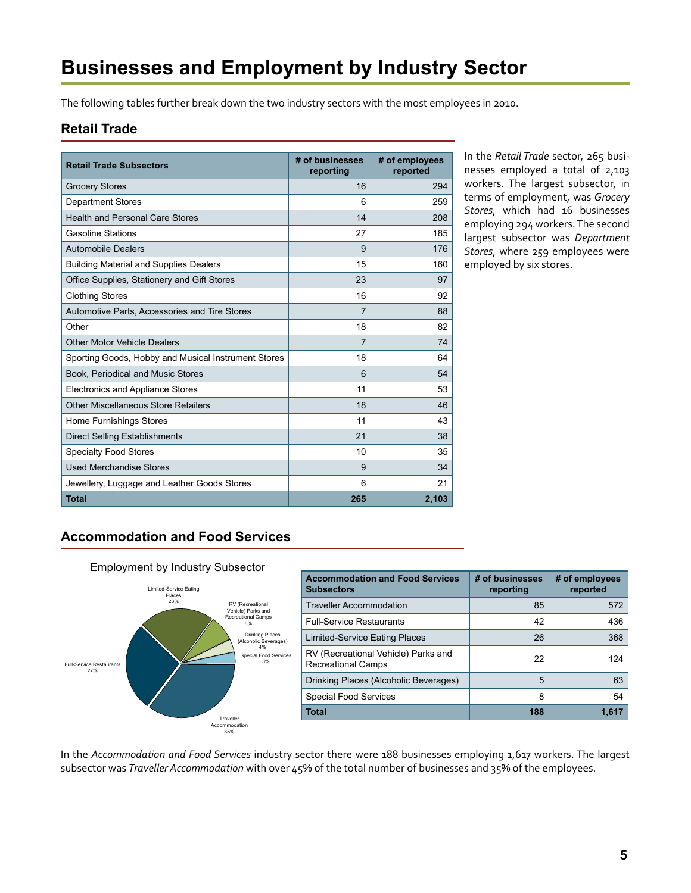# <span id="page-4-0"></span>**Businesses and Employment by Industry Sector**

The following tables further break down the two industry sectors with the most employees in 2010.

### **Retail Trade**

| <b>Retail Trade Subsectors</b>                      | # of businesses<br>reporting | # of employees<br>reported |
|-----------------------------------------------------|------------------------------|----------------------------|
| <b>Grocery Stores</b>                               | 16                           | 294                        |
| <b>Department Stores</b>                            | 6                            | 259                        |
| <b>Health and Personal Care Stores</b>              | 14                           | 208                        |
| <b>Gasoline Stations</b>                            | 27                           | 185                        |
| <b>Automobile Dealers</b>                           | 9                            | 176                        |
| <b>Building Material and Supplies Dealers</b>       | 15                           | 160                        |
| Office Supplies, Stationery and Gift Stores         | 23                           | 97                         |
| <b>Clothing Stores</b>                              | 16                           | 92                         |
| Automotive Parts, Accessories and Tire Stores       | $\overline{7}$               | 88                         |
| Other                                               | 18                           | 82                         |
| <b>Other Motor Vehicle Dealers</b>                  | 7                            | 74                         |
| Sporting Goods, Hobby and Musical Instrument Stores | 18                           | 64                         |
| Book, Periodical and Music Stores                   | 6                            | 54                         |
| Electronics and Appliance Stores                    | 11                           | 53                         |
| Other Miscellaneous Store Retailers                 | 18                           | 46                         |
| Home Furnishings Stores                             | 11                           | 43                         |
| <b>Direct Selling Establishments</b>                | 21                           | 38                         |
| <b>Specialty Food Stores</b>                        | 10                           | 35                         |
| <b>Used Merchandise Stores</b>                      | 9                            | 34                         |
| Jewellery, Luggage and Leather Goods Stores         | 6                            | 21                         |
| <b>Total</b>                                        | 265                          | 2,103                      |

In the *Retail Trade* sector, 265 businesses employed a total of 2,103 workers. The largest subsector, in terms of employment, was *Grocery Stores*, which had 16 businesses employing 294 workers. The second largest subsector was *Department Stores*, where 259 employees were employed by six stores.

### **Accommodation and Food Services**



| <b>Accommodation and Food Services</b><br><b>Subsectors</b>      | # of businesses<br>reporting | # of employees<br>reported |
|------------------------------------------------------------------|------------------------------|----------------------------|
| <b>Traveller Accommodation</b>                                   | 85                           | 572                        |
| <b>Full-Service Restaurants</b>                                  | 42                           | 436                        |
| Limited-Service Eating Places                                    | 26                           | 368                        |
| RV (Recreational Vehicle) Parks and<br><b>Recreational Camps</b> | 22                           | 124                        |
| Drinking Places (Alcoholic Beverages)                            | 5                            | 63                         |
| <b>Special Food Services</b>                                     | 8                            | 54                         |
| Total                                                            | 188                          | 1.617                      |

In the *Accommodation and Food Services* industry sector there were 188 businesses employing 1,617 workers. The largest subsector was *Traveller Accommodation* with over 45% of the total number of businesses and 35% of the employees.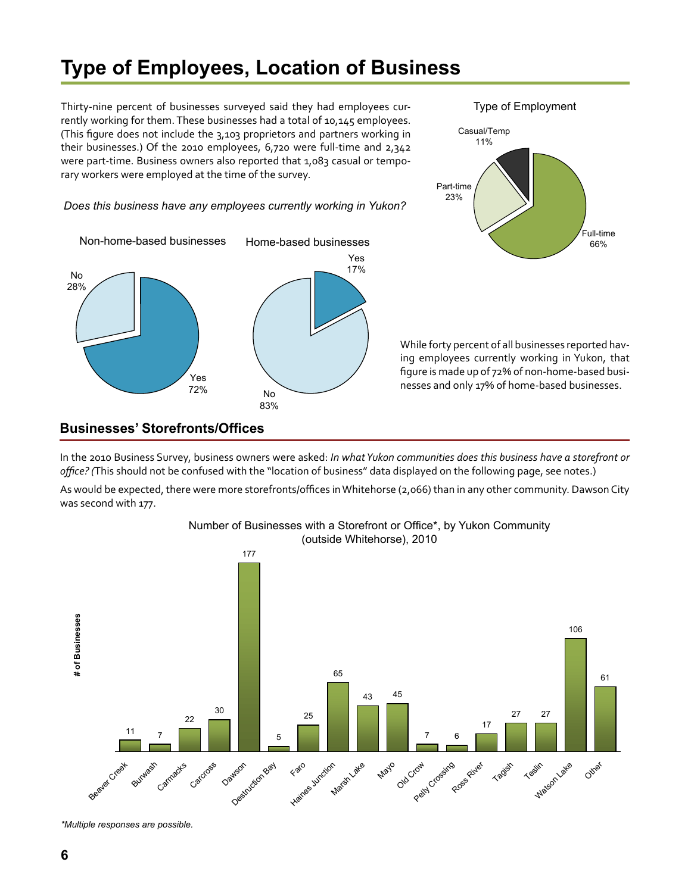# <span id="page-5-0"></span>**Type of Employees, Location of Business**

Thirty-nine percent of businesses surveyed said they had employees currently working for them. These businesses had a total of 10,145 employees. (This figure does not include the 3,103 proprietors and partners working in their businesses.) Of the 2010 employees, 6,720 were full-time and 2,342 were part-time. Business owners also reported that 1,083 casual or temporary workers were employed at the time of the survey.

#### *Does this business have any employees currently working in Yukon?*





While forty percent of all businesses reported having employees currently working in Yukon, that figure is made up of 72% of non-home-based businesses and only 17% of home-based businesses.

### **Businesses' Storefronts/Offices**

In the 2010 Business Survey, business owners were asked: *In what Yukon communities does this business have a storefront or office? (*This should not be confused with the "location of business" data displayed on the following page, see notes.)

As would be expected, there were more storefronts/offices in Whitehorse (2,066) than in any other community. Dawson City was second with 177.

Number of Businesses with a Storefront or Office\*, by Yukon Community



*\*Multiple responses are possible.*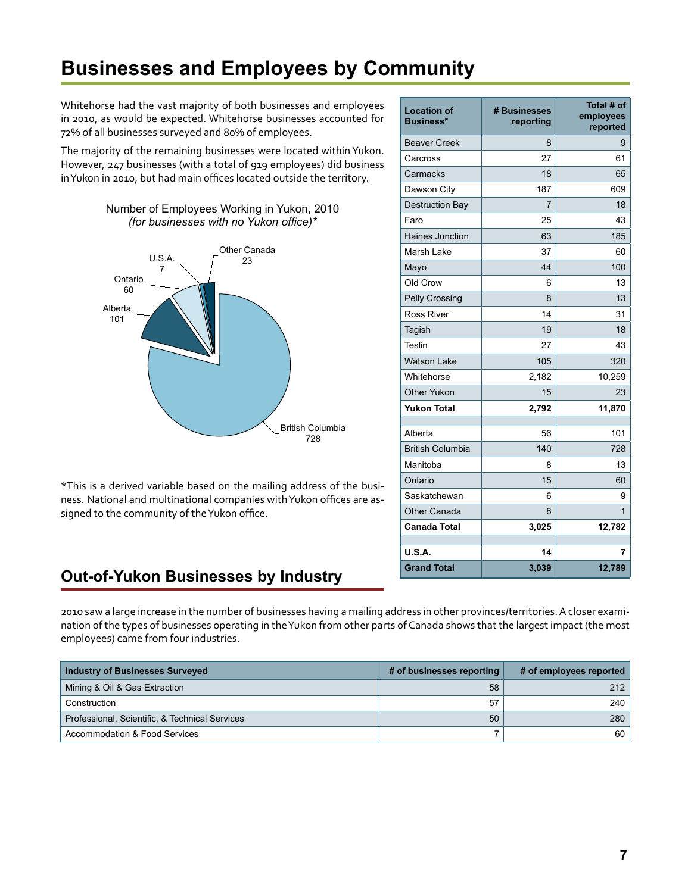# <span id="page-6-0"></span>**Businesses and Employees by Community**

Whitehorse had the vast majority of both businesses and employees in 2010, as would be expected. Whitehorse businesses accounted for 72% of all businesses surveyed and 80% of employees.

The majority of the remaining businesses were located within Yukon. However, 247 businesses (with a total of 919 employees) did business in Yukon in 2010, but had main offices located outside the territory.



\*This is a derived variable based on the mailing address of the business. National and multinational companies with Yukon offices are assigned to the community of the Yukon office.

## **Out-of-Yukon Businesses by Industry**

2010 saw a large increase in the number of businesses having a mailing address in other provinces/territories. A closer examination of the types of businesses operating in the Yukon from other parts of Canada shows that the largest impact (the most employees) came from four industries.

| Industry of Businesses Surveyed                | # of businesses reporting | # of employees reported |
|------------------------------------------------|---------------------------|-------------------------|
| Mining & Oil & Gas Extraction                  | 58                        | 212                     |
| Construction                                   | 57                        | 240                     |
| Professional, Scientific, & Technical Services | 50                        | 280                     |
| Accommodation & Food Services                  |                           | 60                      |

| <b>Location of</b><br><b>Business*</b> | # Businesses<br>reporting | Total # of<br>employees<br>reported |
|----------------------------------------|---------------------------|-------------------------------------|
| <b>Beaver Creek</b>                    | 8                         | 9                                   |
| Carcross                               | 27                        | 61                                  |
| Carmacks                               | 18                        | 65                                  |
| Dawson City                            | 187                       | 609                                 |
| <b>Destruction Bay</b>                 | 7                         | 18                                  |
| Faro                                   | 25                        | 43                                  |
| <b>Haines Junction</b>                 | 63                        | 185                                 |
| Marsh Lake                             | 37                        | 60                                  |
| Mayo                                   | 44                        | 100                                 |
| Old Crow                               | 6                         | 13                                  |
| <b>Pelly Crossing</b>                  | 8                         | 13                                  |
| <b>Ross River</b>                      | 14                        | 31                                  |
| Tagish                                 | 19                        | 18                                  |
| <b>Teslin</b>                          | 27                        | 43                                  |
| <b>Watson Lake</b>                     | 105                       | 320                                 |
| Whitehorse                             | 2,182                     | 10,259                              |
| <b>Other Yukon</b>                     | 15                        | 23                                  |
| <b>Yukon Total</b>                     | 2,792                     | 11,870                              |
| Alberta                                | 56                        | 101                                 |
| <b>British Columbia</b>                | 140                       | 728                                 |
| Manitoba                               | 8                         | 13                                  |
| Ontario                                | 15                        | 60                                  |
| Saskatchewan                           | 6                         |                                     |
| <b>Other Canada</b>                    | 8                         | 9<br>$\mathbf{1}$                   |
| <b>Canada Total</b>                    | 3,025                     | 12,782                              |
|                                        |                           |                                     |
| <b>U.S.A.</b>                          | 14                        | 7                                   |
| <b>Grand Total</b>                     | 3,039                     | 12,789                              |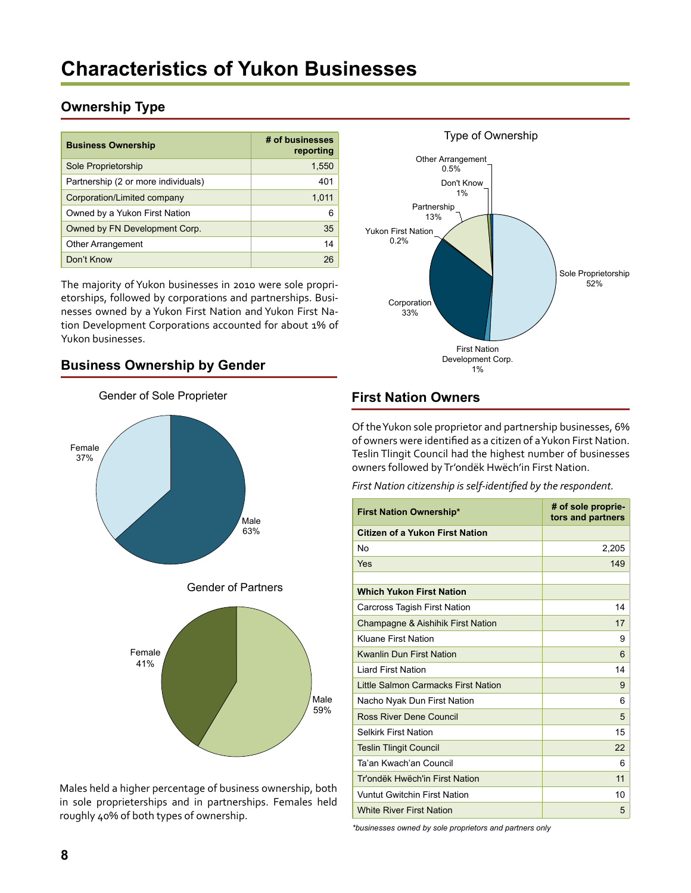### <span id="page-7-0"></span>**Ownership Type**

| <b>Business Ownership</b>           | # of businesses<br>reporting |
|-------------------------------------|------------------------------|
| Sole Proprietorship                 | 1,550                        |
| Partnership (2 or more individuals) | 401                          |
| Corporation/Limited company         | 1,011                        |
| Owned by a Yukon First Nation       | 6                            |
| Owned by FN Development Corp.       | 35                           |
| <b>Other Arrangement</b>            | 14                           |
| Don't Know                          | 26                           |

The majority of Yukon businesses in 2010 were sole proprietorships, followed by corporations and partnerships. Businesses owned by a Yukon First Nation and Yukon First Nation Development Corporations accounted for about 1% of Yukon businesses.

### **Business Ownership by Gender**



Males held a higher percentage of business ownership, both in sole proprieterships and in partnerships. Females held roughly 40% of both types of ownership.



### **First Nation Owners**

Of the Yukon sole proprietor and partnership businesses, 6% of owners were identified as a citizen of a Yukon First Nation. Teslin Tlingit Council had the highest number of businesses owners followed by Tr'ondëk Hwëch'in First Nation.

*First Nation citizenship is self-identified by the respondent.*

| <b>First Nation Ownership*</b>      | # of sole proprie-<br>tors and partners |
|-------------------------------------|-----------------------------------------|
| Citizen of a Yukon First Nation     |                                         |
| No                                  | 2,205                                   |
| Yes                                 | 149                                     |
|                                     |                                         |
| <b>Which Yukon First Nation</b>     |                                         |
| <b>Carcross Tagish First Nation</b> | 14                                      |
| Champagne & Aishihik First Nation   | 17                                      |
| Kluane First Nation                 | 9                                       |
| <b>Kwanlin Dun First Nation</b>     | 6                                       |
| <b>Liard First Nation</b>           | 14                                      |
| Little Salmon Carmacks First Nation | 9                                       |
| Nacho Nyak Dun First Nation         | 6                                       |
| Ross River Dene Council             | 5                                       |
| <b>Selkirk First Nation</b>         | 15                                      |
| <b>Teslin Tlingit Council</b>       | 22                                      |
| Ta'an Kwach'an Council              | 6                                       |
| Tr'ondëk Hwëch'in First Nation      | 11                                      |
| <b>Vuntut Gwitchin First Nation</b> | 10                                      |
| <b>White River First Nation</b>     | 5                                       |

*\*businesses owned by sole proprietors and partners only*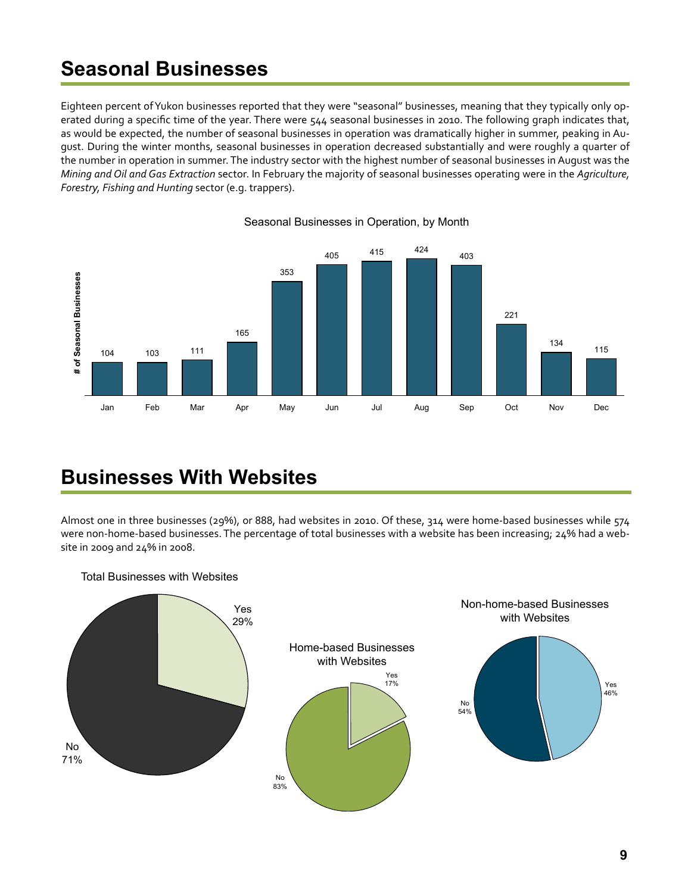## <span id="page-8-0"></span>**Seasonal Businesses**

Eighteen percent of Yukon businesses reported that they were "seasonal" businesses, meaning that they typically only operated during a specific time of the year. There were 544 seasonal businesses in 2010. The following graph indicates that, as would be expected, the number of seasonal businesses in operation was dramatically higher in summer, peaking in August. During the winter months, seasonal businesses in operation decreased substantially and were roughly a quarter of the number in operation in summer. The industry sector with the highest number of seasonal businesses in August was the *Mining and Oil and Gas Extraction* sector. In February the majority of seasonal businesses operating were in the *Agriculture, Forestry, Fishing and Hunting* sector (e.g. trappers).



#### Seasonal Businesses in Operation, by Month

## **Businesses With Websites**

Almost one in three businesses (29%), or 888, had websites in 2010. Of these, 314 were home-based businesses while 574 were non-home-based businesses. The percentage of total businesses with a website has been increasing; 24% had a website in 2009 and 24% in 2008.



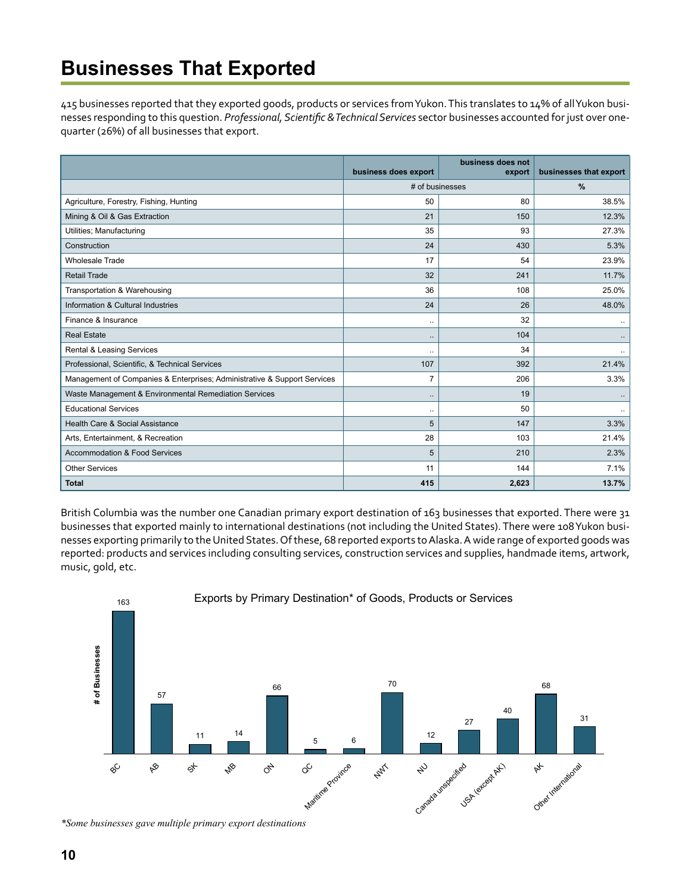## <span id="page-9-0"></span>**Businesses That Exported**

415 businesses reported that they exported goods, products or services from Yukon. This translates to 14% of all Yukon businesses responding to this question. *Professional, Scientific & Technical Services* sector businesses accounted for just over onequarter (26%) of all businesses that export.

|                                                                          | business does export | business does not<br>export | businesses that export |
|--------------------------------------------------------------------------|----------------------|-----------------------------|------------------------|
|                                                                          | # of businesses      |                             | %                      |
| Agriculture, Forestry, Fishing, Hunting                                  | 50                   | 80                          | 38.5%                  |
| Mining & Oil & Gas Extraction                                            | 21                   | 150                         | 12.3%                  |
| Utilities; Manufacturing                                                 | 35                   | 93                          | 27.3%                  |
| Construction                                                             | 24                   | 430                         | 5.3%                   |
| <b>Wholesale Trade</b>                                                   | 17                   | 54                          | 23.9%                  |
| <b>Retail Trade</b>                                                      | 32                   | 241                         | 11.7%                  |
| Transportation & Warehousing                                             | 36                   | 108                         | 25.0%                  |
| Information & Cultural Industries                                        | 24                   | 26                          | 48.0%                  |
| Finance & Insurance                                                      | $\ddot{\phantom{a}}$ | 32                          | $\ldots$               |
| <b>Real Estate</b>                                                       | $\ldots$             | 104                         |                        |
| Rental & Leasing Services                                                | $\ddot{\phantom{a}}$ | 34                          | ٠.                     |
| Professional, Scientific, & Technical Services                           | 107                  | 392                         | 21.4%                  |
| Management of Companies & Enterprises; Administrative & Support Services | 7                    | 206                         | 3.3%                   |
| Waste Management & Environmental Remediation Services                    | $\ldots$             | 19                          |                        |
| <b>Educational Services</b>                                              |                      | 50                          |                        |
| Health Care & Social Assistance                                          | 5                    | 147                         | 3.3%                   |
| Arts, Entertainment, & Recreation                                        | 28                   | 103                         | 21.4%                  |
| <b>Accommodation &amp; Food Services</b>                                 | 5                    | 210                         | 2.3%                   |
| <b>Other Services</b>                                                    | 11                   | 144                         | 7.1%                   |
| <b>Total</b>                                                             | 415                  | 2,623                       | 13.7%                  |

British Columbia was the number one Canadian primary export destination of 163 businesses that exported. There were 31 businesses that exported mainly to international destinations (not including the United States). There were 108 Yukon businesses exporting primarily to the United States. Of these, 68 reported exports to Alaska. A wide range of exported goods was reported: products and services including consulting services, construction services and supplies, handmade items, artwork, music, gold, etc.



*<sup>\*</sup>Some businesses gave multiple primary export destinations*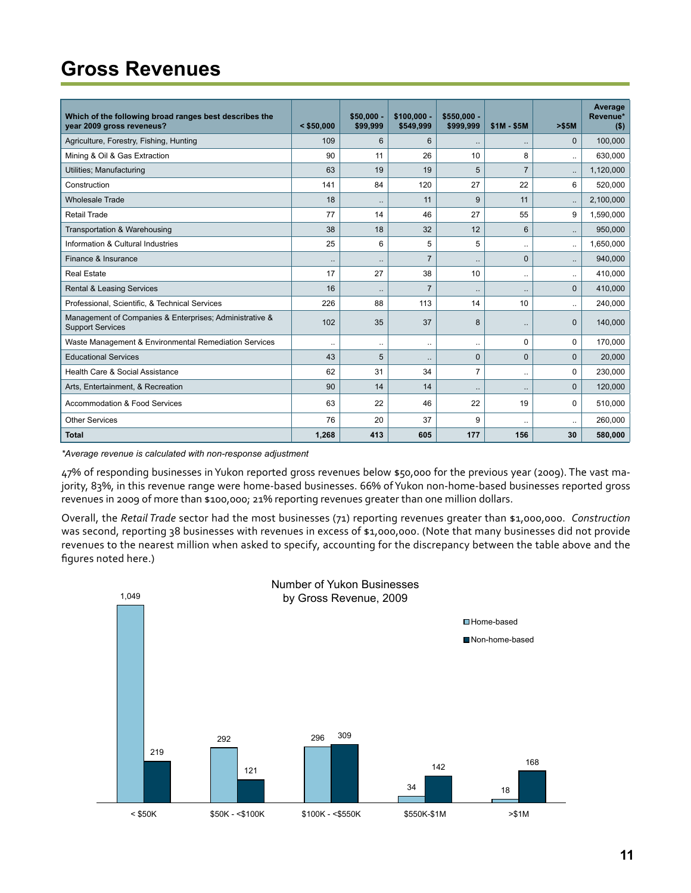# <span id="page-10-0"></span>**Gross Revenues**

| Which of the following broad ranges best describes the<br>year 2009 gross reveneus? | $<$ \$50,000         | $$50.000 -$<br>\$99,999 | $$100.000 -$<br>\$549,999 | $$550.000 -$<br>\$999.999 | $$1M - $5M$          | > \$5M       | Average<br>Revenue*<br>( \$) |
|-------------------------------------------------------------------------------------|----------------------|-------------------------|---------------------------|---------------------------|----------------------|--------------|------------------------------|
| Agriculture, Forestry, Fishing, Hunting                                             | 109                  | 6                       | $6\phantom{1}$            | $\ldots$                  | $\ldots$             | $\mathbf{0}$ | 100,000                      |
| Mining & Oil & Gas Extraction                                                       | 90                   | 11                      | 26                        | 10                        | 8                    | $\ddotsc$    | 630,000                      |
| Utilities; Manufacturing                                                            | 63                   | 19                      | 19                        | 5                         | $\overline{7}$       | $\ldots$     | 1,120,000                    |
| Construction                                                                        | 141                  | 84                      | 120                       | 27                        | 22                   | 6            | 520,000                      |
| <b>Wholesale Trade</b>                                                              | 18                   | $\ddot{\phantom{a}}$    | 11                        | 9                         | 11                   | $\ldots$     | 2,100,000                    |
| <b>Retail Trade</b>                                                                 | 77                   | 14                      | 46                        | 27                        | 55                   | 9            | 1,590,000                    |
| Transportation & Warehousing                                                        | 38                   | 18                      | 32                        | 12                        | 6                    | $\ddotsc$    | 950,000                      |
| Information & Cultural Industries                                                   | 25                   | 6                       | 5                         | 5                         | $\ldots$             | $\ldots$     | 1,650,000                    |
| Finance & Insurance                                                                 | $\ddot{\phantom{a}}$ | $\ddot{\phantom{a}}$    | $\overline{7}$            | Ω.                        | $\mathbf{0}$         | $\ldots$     | 940,000                      |
| <b>Real Estate</b>                                                                  | 17                   | 27                      | 38                        | 10                        | $\ddotsc$            | $\ldots$     | 410,000                      |
| <b>Rental &amp; Leasing Services</b>                                                | 16                   |                         | $\overline{7}$            |                           |                      | $\Omega$     | 410,000                      |
| Professional, Scientific, & Technical Services                                      | 226                  | 88                      | 113                       | 14                        | 10                   | $\ddotsc$    | 240,000                      |
| Management of Companies & Enterprises; Administrative &<br><b>Support Services</b>  | 102                  | 35                      | 37                        | 8                         | $\ddotsc$            | $\mathbf{0}$ | 140,000                      |
| Waste Management & Environmental Remediation Services                               |                      | $\ddotsc$               | $\ldots$                  |                           | 0                    | 0            | 170,000                      |
| <b>Educational Services</b>                                                         | 43                   | 5                       | $\ldots$                  | $\mathbf{0}$              | $\mathbf{0}$         | $\mathbf{0}$ | 20,000                       |
| Health Care & Social Assistance                                                     | 62                   | 31                      | 34                        | $\overline{7}$            | $\ddot{\phantom{a}}$ | $\mathbf 0$  | 230,000                      |
| Arts, Entertainment, & Recreation                                                   | 90                   | 14                      | 14                        | $\ddotsc$                 | $\ddotsc$            | $\Omega$     | 120,000                      |
| <b>Accommodation &amp; Food Services</b>                                            | 63                   | 22                      | 46                        | 22                        | 19                   | $\Omega$     | 510,000                      |
| <b>Other Services</b>                                                               | 76                   | 20                      | 37                        | 9                         | $\ldots$             | $\ldots$     | 260,000                      |
| <b>Total</b>                                                                        | 1,268                | 413                     | 605                       | 177                       | 156                  | 30           | 580,000                      |

*\*Average revenue is calculated with non-response adjustment*

47% of responding businesses in Yukon reported gross revenues below \$50,000 for the previous year (2009). The vast majority, 83%, in this revenue range were home-based businesses. 66% of Yukon non-home-based businesses reported gross revenues in 2009 of more than \$100,000; 21% reporting revenues greater than one million dollars.

Overall, the *Retail Trade* sector had the most businesses (71) reporting revenues greater than \$1,000,000. *Construction* was second, reporting 38 businesses with revenues in excess of \$1,000,000. (Note that many businesses did not provide revenues to the nearest million when asked to specify, accounting for the discrepancy between the table above and the figures noted here.)

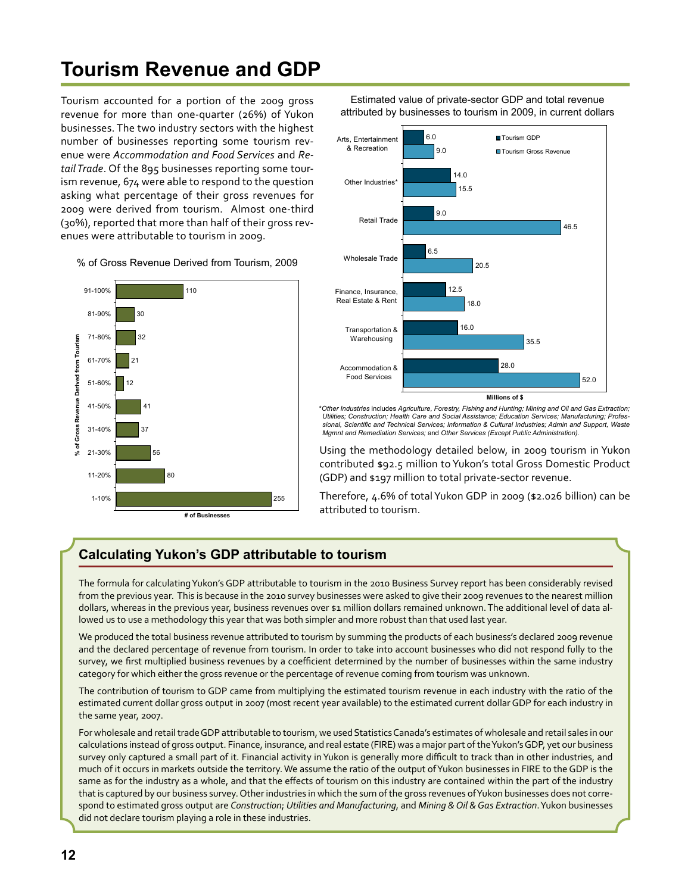# <span id="page-11-0"></span>**Tourism Revenue and GDP**

Tourism accounted for a portion of the 2009 gross revenue for more than one-quarter (26%) of Yukon businesses. The two industry sectors with the highest number of businesses reporting some tourism revenue were *Accommodation and Food Services* and *Retail Trade*. Of the 895 businesses reporting some tourism revenue, 674 were able to respond to the question asking what percentage of their gross revenues for 2009 were derived from tourism. Almost one-third (30%), reported that more than half of their gross revenues were attributable to tourism in 2009.

% of Gross Revenue Derived from Tourism, 2009



Estimated value of private-sector GDP and total revenue attributed by businesses to tourism in 2009, in current dollars



\**Other Industries* includes *Agriculture, Forestry, Fishing and Hunting; Mining and Oil and Gas Extraction; Utilities; Construction; Health Care and Social Assistance; Education Services; Manufacturing; Professional, Scientific and Technical Services; Information & Cultural Industries; Admin and Support, Waste Mgmnt and Remediation Services;* and *Other Services (Except Public Administration).*

Using the methodology detailed below, in 2009 tourism in Yukon contributed \$92.5 million to Yukon's total Gross Domestic Product (GDP) and \$197 million to total private-sector revenue.

Therefore, 4.6% of total Yukon GDP in 2009 (\$2.026 billion) can be attributed to tourism.

## **Calculating Yukon's GDP attributable to tourism**

The formula for calculating Yukon's GDP attributable to tourism in the 2010 Business Survey report has been considerably revised from the previous year. This is because in the 2010 survey businesses were asked to give their 2009 revenues to the nearest million dollars, whereas in the previous year, business revenues over \$1 million dollars remained unknown. The additional level of data allowed us to use a methodology this year that was both simpler and more robust than that used last year.

We produced the total business revenue attributed to tourism by summing the products of each business's declared 2009 revenue and the declared percentage of revenue from tourism. In order to take into account businesses who did not respond fully to the survey, we first multiplied business revenues by a coefficient determined by the number of businesses within the same industry category for which either the gross revenue or the percentage of revenue coming from tourism was unknown.

The contribution of tourism to GDP came from multiplying the estimated tourism revenue in each industry with the ratio of the estimated current dollar gross output in 2007 (most recent year available) to the estimated current dollar GDP for each industry in the same year, 2007.

For wholesale and retail trade GDP attributable to tourism, we used Statistics Canada's estimates of wholesale and retail sales in our calculations instead of gross output. Finance, insurance, and real estate (FIRE) was a major part of the Yukon's GDP, yet our business survey only captured a small part of it. Financial activity in Yukon is generally more difficult to track than in other industries, and much of it occurs in markets outside the territory. We assume the ratio of the output of Yukon businesses in FIRE to the GDP is the same as for the industry as a whole, and that the effects of tourism on this industry are contained within the part of the industry that is captured by our business survey. Other industries in which the sum of the gross revenues of Yukon businesses does not correspond to estimated gross output are *Construction*; *Utilities and Manufacturing*, and *Mining & Oil & Gas Extraction*. Yukon businesses did not declare tourism playing a role in these industries.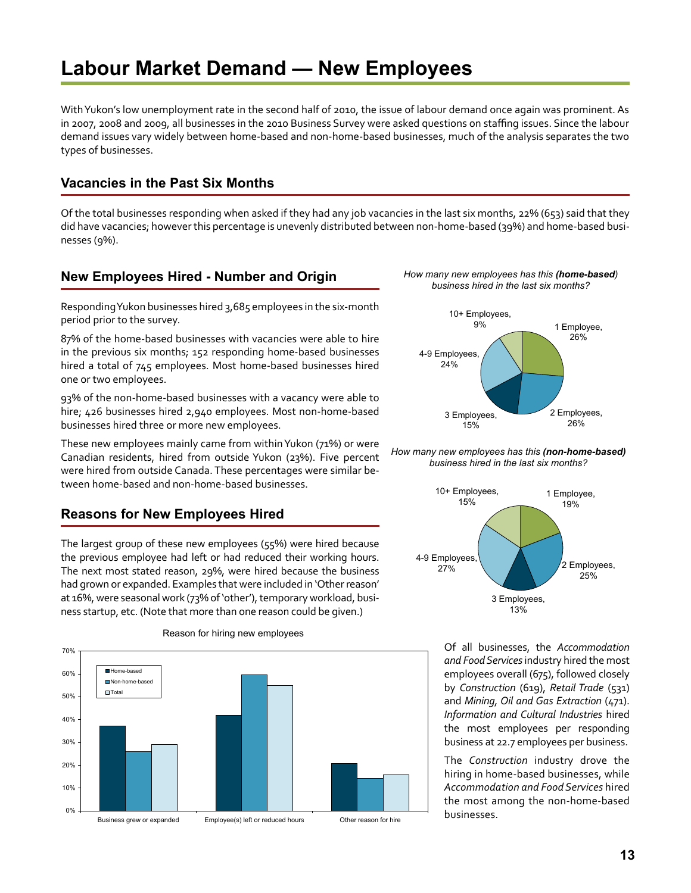## <span id="page-12-0"></span>**Labour Market Demand — New Employees**

With Yukon's low unemployment rate in the second half of 2010, the issue of labour demand once again was prominent. As in 2007, 2008 and 2009, all businesses in the 2010 Business Survey were asked questions on staffing issues. Since the labour demand issues vary widely between home-based and non-home-based businesses, much of the analysis separates the two types of businesses.

### **Vacancies in the Past Six Months**

Of the total businesses responding when asked if they had any job vacancies in the last six months, 22% (653) said that they did have vacancies; however this percentage is unevenly distributed between non-home-based (39%) and home-based businesses (9%).

### **New Employees Hired - Number and Origin**

Responding Yukon businesses hired 3,685 employees in the six-month period prior to the survey.

87% of the home-based businesses with vacancies were able to hire in the previous six months; 152 responding home-based businesses hired a total of 745 employees. Most home-based businesses hired one or two employees.

93% of the non-home-based businesses with a vacancy were able to hire; 426 businesses hired 2,940 employees. Most non-home-based businesses hired three or more new employees.

These new employees mainly came from within Yukon (71%) or were Canadian residents, hired from outside Yukon (23%). Five percent were hired from outside Canada. These percentages were similar between home-based and non-home-based businesses.

### **Reasons for New Employees Hired**

The largest group of these new employees (55%) were hired because the previous employee had left or had reduced their working hours. The next most stated reason, 29%, were hired because the business had grown or expanded. Examples that were included in 'Other reason' at 16%, were seasonal work (73% of 'other'), temporary workload, business startup, etc. (Note that more than one reason could be given.)



#### Reason for hiring new employees





*How many new employees has this (non-home-based) business hired in the last six months?*



Of all businesses, the *Accommodation and Food Services* industry hired the most employees overall (675), followed closely by *Construction* (619), *Retail Trade* (531) and *Mining, Oil and Gas Extraction* (471). *Information and Cultural Industries* hired the most employees per responding business at 22.7 employees per business.

The *Construction* industry drove the hiring in home-based businesses, while *Accommodation and Food Services* hired the most among the non-home-based businesses.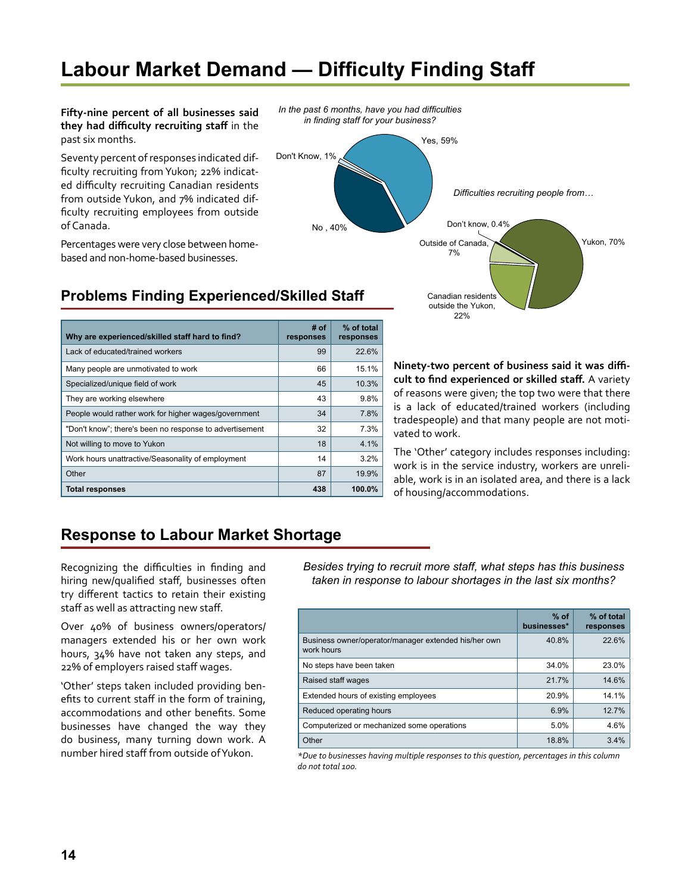## <span id="page-13-0"></span>**Labour Market Demand — Difficulty Finding Staff**

**Fifty-nine percent of all businesses said they had difficulty recruiting staff** in the past six months.

Seventy percent of responses indicated difficulty recruiting from Yukon; 22% indicated difficulty recruiting Canadian residents from outside Yukon, and 7% indicated difficulty recruiting employees from outside of Canada.

Percentages were very close between homebased and non-home-based businesses.



Canadian residents outside the Yukon, 22%

## **Problems Finding Experienced/Skilled Staff**

| Why are experienced/skilled staff hard to find?         | # of<br>responses | % of total<br>responses |
|---------------------------------------------------------|-------------------|-------------------------|
| Lack of educated/trained workers                        | 99                | 22.6%                   |
| Many people are unmotivated to work                     | 66                | 15.1%                   |
| Specialized/unique field of work                        | 45                | 10.3%                   |
| They are working elsewhere                              | 43                | 9.8%                    |
| People would rather work for higher wages/government    | 34                | 7.8%                    |
| "Don't know"; there's been no response to advertisement | 32                | 7.3%                    |
| Not willing to move to Yukon                            | 18                | 4.1%                    |
| Work hours unattractive/Seasonality of employment       | 14                | 3.2%                    |
| Other                                                   | 87                | 19.9%                   |
| <b>Total responses</b>                                  | 438               | 100.0%                  |

**Ninety-two percent of business said it was difficult to find experienced or skilled staff.** A variety of reasons were given; the top two were that there is a lack of educated/trained workers (including tradespeople) and that many people are not motivated to work.

The 'Other' category includes responses including: work is in the service industry, workers are unreliable, work is in an isolated area, and there is a lack of housing/accommodations.

## **Response to Labour Market Shortage**

Recognizing the difficulties in finding and hiring new/qualified staff, businesses often try different tactics to retain their existing staff as well as attracting new staff.

Over 40% of business owners/operators/ managers extended his or her own work hours, 34% have not taken any steps, and 22% of employers raised staff wages.

'Other' steps taken included providing benefits to current staff in the form of training, accommodations and other benefits. Some businesses have changed the way they do business, many turning down work. A number hired staff from outside of Yukon.

*Besides trying to recruit more staff, what steps has this business taken in response to labour shortages in the last six months?*

|                                                                    | $%$ of<br>businesses* | % of total<br>responses |
|--------------------------------------------------------------------|-----------------------|-------------------------|
| Business owner/operator/manager extended his/her own<br>work hours | 40.8%                 | 22.6%                   |
| No steps have been taken                                           | 34.0%                 | 23.0%                   |
| Raised staff wages                                                 | 21.7%                 | 14.6%                   |
| Extended hours of existing employees                               | 20.9%                 | 14.1%                   |
| Reduced operating hours                                            | 6.9%                  | 12.7%                   |
| Computerized or mechanized some operations                         | 5.0%                  | 4.6%                    |
| Other                                                              | 18.8%                 | 3.4%                    |

*\*Due to businesses having multiple responses to this question, percentages in this column do not total 100.*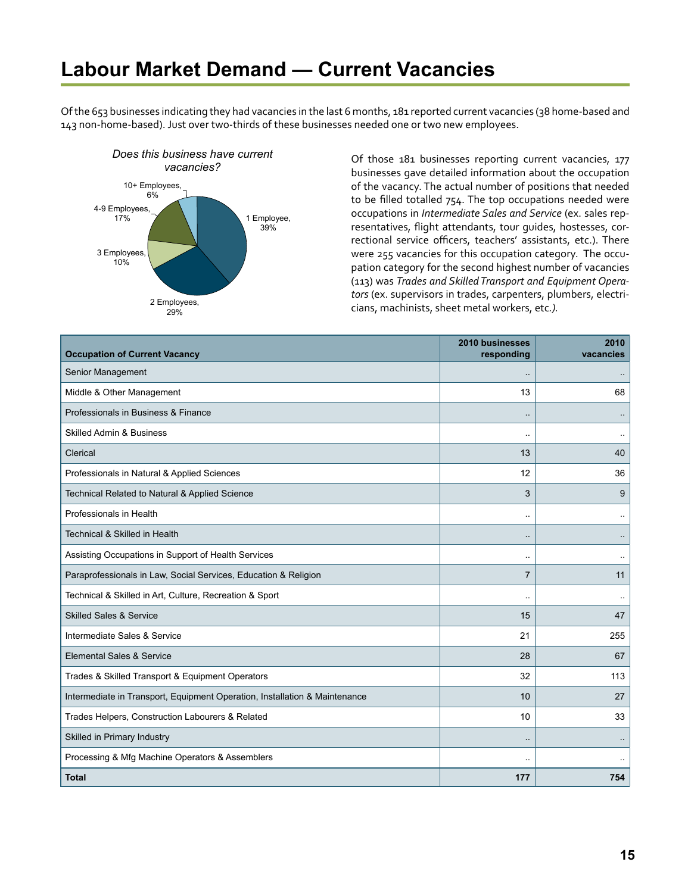## <span id="page-14-0"></span>**Labour Market Demand — Current Vacancies**

Of the 653 businesses indicating they had vacancies in the last 6 months, 181 reported current vacancies (38 home-based and 143 non-home-based). Just over two-thirds of these businesses needed one or two new employees.



*vacancies? vacancies? Of those* 181 businesses reporting current vacancies, 177 vacancies? businesses gave detailed information about the occupation of the vacancy. The actual number of positions that needed to be filled totalled 754. The top occupations needed were occupations in *Intermediate Sales and Service* (ex. sales representatives, flight attendants, tour guides, hostesses, correctional service officers, teachers' assistants, etc.). There were 255 vacancies for this occupation category. The occupation category for the second highest number of vacancies (113) was *Trades and Skilled Transport and Equipment Operators* (ex. supervisors in trades, carpenters, plumbers, electricians, machinists, sheet metal workers, etc*.).* 

| <b>Occupation of Current Vacancy</b>                                       | 2010 businesses<br>responding | 2010<br>vacancies |
|----------------------------------------------------------------------------|-------------------------------|-------------------|
| Senior Management                                                          | ٠.                            |                   |
| Middle & Other Management                                                  | 13                            | 68                |
| Professionals in Business & Finance                                        |                               |                   |
| <b>Skilled Admin &amp; Business</b>                                        | ٠.                            |                   |
| Clerical                                                                   | 13                            | 40                |
| Professionals in Natural & Applied Sciences                                | 12                            | 36                |
| Technical Related to Natural & Applied Science                             | 3                             | 9                 |
| Professionals in Health                                                    | ä.                            |                   |
| <b>Technical &amp; Skilled in Health</b>                                   | $\ddot{\phantom{a}}$          |                   |
| Assisting Occupations in Support of Health Services                        |                               |                   |
| Paraprofessionals in Law, Social Services, Education & Religion            | $\overline{7}$                | 11                |
| Technical & Skilled in Art, Culture, Recreation & Sport                    | $\ddotsc$                     |                   |
| <b>Skilled Sales &amp; Service</b>                                         | 15                            | 47                |
| Intermediate Sales & Service                                               | 21                            | 255               |
| Elemental Sales & Service                                                  | 28                            | 67                |
| Trades & Skilled Transport & Equipment Operators                           | 32                            | 113               |
| Intermediate in Transport, Equipment Operation, Installation & Maintenance | 10                            | 27                |
| Trades Helpers, Construction Labourers & Related                           | 10                            | 33                |
| Skilled in Primary Industry                                                |                               |                   |
| Processing & Mfg Machine Operators & Assemblers                            | μ.                            |                   |
| <b>Total</b>                                                               | 177                           | 754               |